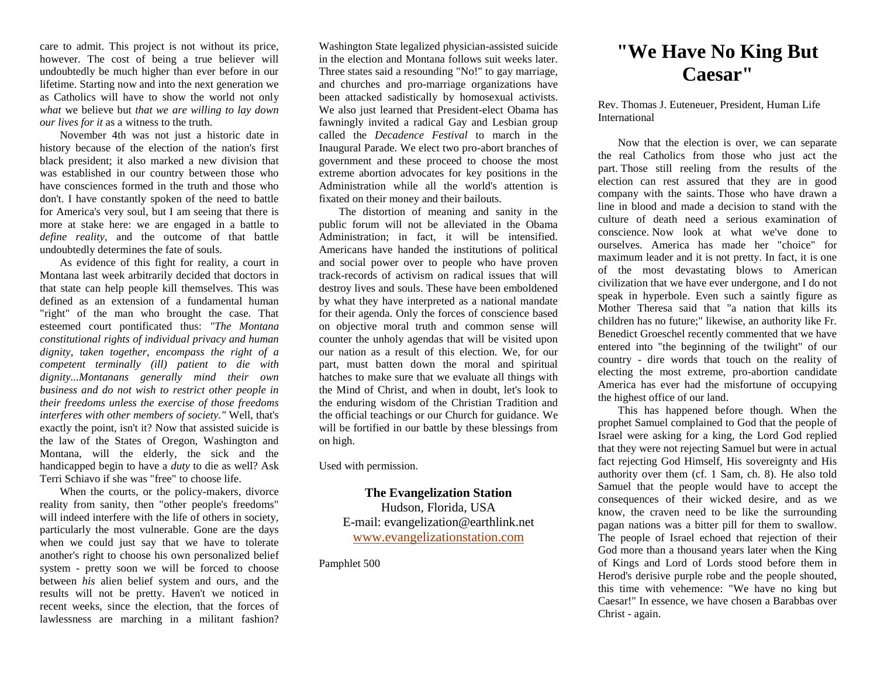care to admit. This project is not without its price, however. The cost of being a true believer will undoubtedly be much higher than ever before in our lifetime. Starting now and into the next generation we as Catholics will have to show the world not only *what* we believe but *that we are willing to lay down our lives for it* as a witness to the truth.

November 4th was not just a historic date in history because of the election of the nation's first black president; it also marked a new division that was established in our country between those who have consciences formed in the truth and those who don't. I have constantly spoken of the need to battle for America's very soul, but I am seeing that there is more at stake here: we are engaged in a battle to *define reality,* and the outcome of that battle undoubtedly determines the fate of souls.

As evidence of this fight for reality, a court in Montana last week arbitrarily decided that doctors in that state can help people kill themselves. This was defined as an extension of a fundamental human "right" of the man who brought the case. That esteemed court pontificated thus: *"The Montana constitutional rights of individual privacy and human dignity, taken together, encompass the right of a competent terminally (ill) patient to die with dignity...Montanans generally mind their own business and do not wish to restrict other people in their freedoms unless the exercise of those freedoms interferes with other members of society."* Well, that's exactly the point, isn't it? Now that assisted suicide is the law of the States of Oregon, Washington and Montana, will the elderly, the sick and the handicapped begin to have a *duty* to die as well? Ask Terri Schiavo if she was "free" to choose life.

When the courts, or the policy-makers, divorce reality from sanity, then "other people's freedoms" will indeed interfere with the life of others in society, particularly the most vulnerable. Gone are the days when we could just say that we have to tolerate another's right to choose his own personalized belief system - pretty soon we will be forced to choose between *his* alien belief system and ours, and the results will not be pretty. Haven't we noticed in recent weeks, since the election, that the forces of lawlessness are marching in a militant fashion?

Washington State legalized physician-assisted suicide in the election and Montana follows suit weeks later. Three states said a resounding "No!" to gay marriage, and churches and pro-marriage organizations have been attacked sadistically by homosexual activists. We also just learned that President-elect Obama has fawningly invited a radical Gay and Lesbian group called the *Decadence Festival* to march in the Inaugural Parade. We elect two pro-abort branches of government and these proceed to choose the most extreme abortion advocates for key positions in the Administration while all the world's attention is fixated on their money and their bailouts.

The distortion of meaning and sanity in the public forum will not be alleviated in the Obama Administration; in fact, it will be intensified. Americans have handed the institutions of political and social power over to people who have proven track-records of activism on radical issues that will destroy lives and souls. These have been emboldened by what they have interpreted as a national mandate for their agenda. Only the forces of conscience based on objective moral truth and common sense will counter the unholy agendas that will be visited upon our nation as a result of this election. We, for our part, must batten down the moral and spiritual hatches to make sure that we evaluate all things with the Mind of Christ, and when in doubt, let's look to the enduring wisdom of the Christian Tradition and the official teachings or our Church for guidance. We will be fortified in our battle by these blessings from on high.

Used with permission.

**The Evangelization Station** Hudson, Florida, USA E-mail: evangelization@earthlink.net [www.evangelizationstation.com](http://www.pjpiisoe.org/)

Pamphlet 500

## **"We Have No King But Caesar"**

Rev. Thomas J. Euteneuer, President, Human Life International

Now that the election is over, we can separate the real Catholics from those who just act the part. Those still reeling from the results of the election can rest assured that they are in good company with the saints. Those who have drawn a line in blood and made a decision to stand with the culture of death need a serious examination of conscience. Now look at what we've done to ourselves. America has made her "choice" for maximum leader and it is not pretty. In fact, it is one of the most devastating blows to American civilization that we have ever undergone, and I do not speak in hyperbole. Even such a saintly figure as Mother Theresa said that "a nation that kills its children has no future;" likewise, an authority like Fr. Benedict Groeschel recently commented that we have entered into "the beginning of the twilight" of our country - dire words that touch on the reality of electing the most extreme, pro-abortion candidate America has ever had the misfortune of occupying the highest office of our land.

This has happened before though. When the prophet Samuel complained to God that the people of Israel were asking for a king, the Lord God replied that they were not rejecting Samuel but were in actual fact rejecting God Himself, His sovereignty and His authority over them (cf. 1 Sam, ch. 8). He also told Samuel that the people would have to accept the consequences of their wicked desire, and as we know, the craven need to be like the surrounding pagan nations was a bitter pill for them to swallow. The people of Israel echoed that rejection of their God more than a thousand years later when the King of Kings and Lord of Lords stood before them in Herod's derisive purple robe and the people shouted, this time with vehemence: "We have no king but Caesar!" In essence, we have chosen a Barabbas over Christ - again.